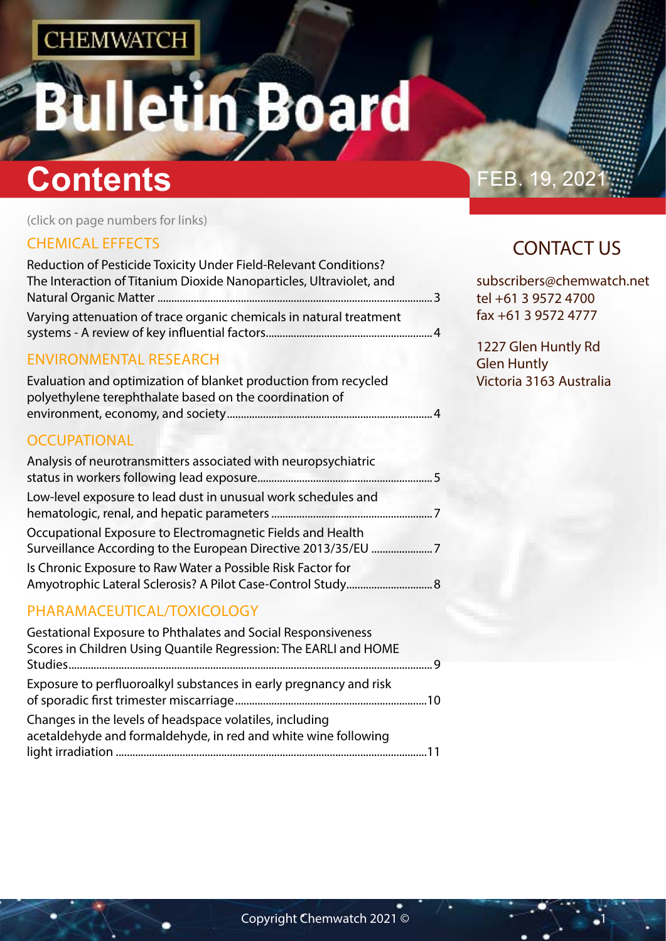# tin Board

## **Contents Contents FEB. 19, 2021**

(click on page numbers for links)

## [CHEMICAL EFFECTS](#page-1-0)

| Reduction of Pesticide Toxicity Under Field-Relevant Conditions?    |    |
|---------------------------------------------------------------------|----|
| The Interaction of Titanium Dioxide Nanoparticles, Ultraviolet, and |    |
|                                                                     | ્ર |
| Varying attenuation of trace organic chemicals in natural treatment |    |
|                                                                     |    |

### [ENVIRONMENTAL RESEARCH](#page-1-0)

| Evaluation and optimization of blanket production from recycled |  |
|-----------------------------------------------------------------|--|
| polyethylene terephthalate based on the coordination of         |  |
|                                                                 |  |

### **[OCCUPATIONAL](#page-2-0)**

| Analysis of neurotransmitters associated with neuropsychiatric |  |
|----------------------------------------------------------------|--|
| Low-level exposure to lead dust in unusual work schedules and  |  |
| Occupational Exposure to Electromagnetic Fields and Health     |  |
| Is Chronic Exposure to Raw Water a Possible Risk Factor for    |  |

## [PHARAMACEUTICAL/TOXICOLOGY](#page-4-0)

| Gestational Exposure to Phthalates and Social Responsiveness<br>Scores in Children Using Quantile Regression: The EARLI and HOME |  |
|----------------------------------------------------------------------------------------------------------------------------------|--|
| Exposure to perfluoroalkyl substances in early pregnancy and risk                                                                |  |
| Changes in the levels of headspace volatiles, including<br>acetaldehyde and formaldehyde, in red and white wine following        |  |

## CONTACT US

subscribers@chemwatch.net tel +61 3 9572 4700 fax +61 3 9572 4777

1227 Glen Huntly Rd Glen Huntly Victoria 3163 Australia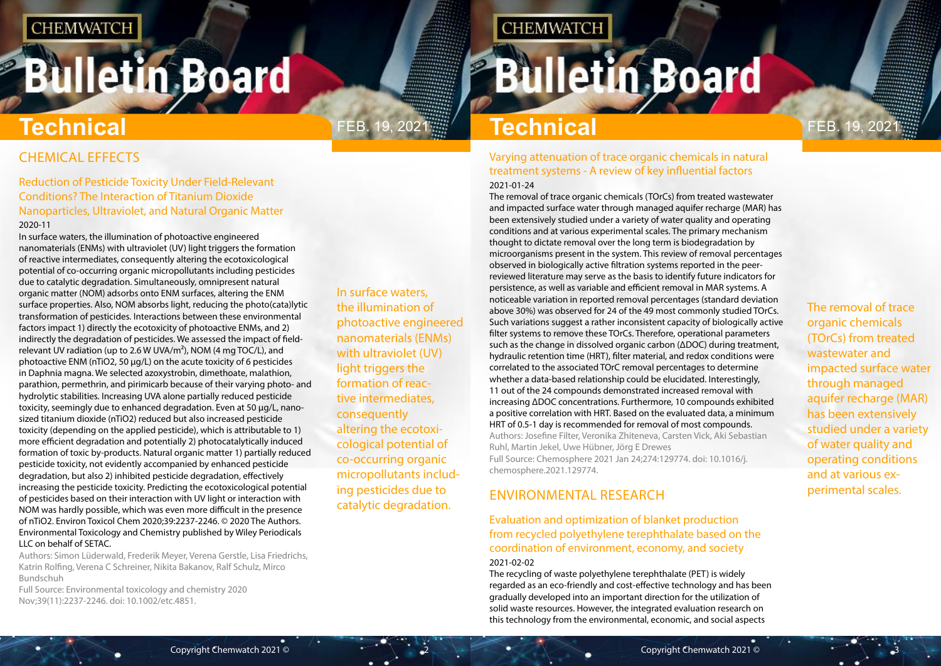## <span id="page-1-0"></span>**Bulletin Board**

In surface waters, the illumination of photoactive engineered nanomaterials (ENMs) with ultraviolet (UV) light triggers the formation of reactive intermediates, consequently altering the ecotoxicological potential of co-occurring organic micropollutants including pesticides due to catalytic degradation.

## **CHEMWATCH**

## **Bulletin Board**

## Feb. 19, 2021 Feb. 19, 2021 **Technical**

The removal of trace organic chemicals (TOrCs) from treated wastewater and impacted surface water through managed aquifer recharge (MAR) has been extensively studied under a variety of water quality and operating conditions and at various experimental scales.

CHEMICAL EFFECTS

### Reduction of Pesticide Toxicity Under Field-Relevant Conditions? The Interaction of Titanium Dioxide Nanoparticles, Ultraviolet, and Natural Organic Matter 2020-11

In surface waters, the illumination of photoactive engineered nanomaterials (ENMs) with ultraviolet (UV) light triggers the formation of reactive intermediates, consequently altering the ecotoxicological potential of co-occurring organic micropollutants including pesticides due to catalytic degradation. Simultaneously, omnipresent natural organic matter (NOM) adsorbs onto ENM surfaces, altering the ENM surface properties. Also, NOM absorbs light, reducing the photo(cata)lytic transformation of pesticides. Interactions between these environmental factors impact 1) directly the ecotoxicity of photoactive ENMs, and 2) indirectly the degradation of pesticides. We assessed the impact of fieldrelevant UV radiation (up to 2.6 W UVA/m²), NOM (4 mg TOC/L), and photoactive ENM (nTiO2, 50 µg/L) on the acute toxicity of 6 pesticides in Daphnia magna. We selected azoxystrobin, dimethoate, malathion, parathion, permethrin, and pirimicarb because of their varying photo- and hydrolytic stabilities. Increasing UVA alone partially reduced pesticide toxicity, seemingly due to enhanced degradation. Even at 50 µg/L, nanosized titanium dioxide (nTiO2) reduced but also increased pesticide toxicity (depending on the applied pesticide), which is attributable to 1) more efficient degradation and potentially 2) photocatalytically induced formation of toxic by-products. Natural organic matter 1) partially reduced pesticide toxicity, not evidently accompanied by enhanced pesticide degradation, but also 2) inhibited pesticide degradation, effectively increasing the pesticide toxicity. Predicting the ecotoxicological potential of pesticides based on their interaction with UV light or interaction with NOM was hardly possible, which was even more difficult in the presence of nTiO2. Environ Toxicol Chem 2020;39:2237-2246. © 2020 The Authors. Environmental Toxicology and Chemistry published by Wiley Periodicals LLC on behalf of SETAC.

Authors: Simon Lüderwald, Frederik Meyer, Verena Gerstle, Lisa Friedrichs, Katrin Rolfing, Verena C Schreiner, Nikita Bakanov, Ralf Schulz, Mirco Bundschuh

Full Source: Environmental toxicology and chemistry 2020 Nov;39(11):2237-2246. doi: 10.1002/etc.4851.

## **Technical**

### Varying attenuation of trace organic chemicals in natural treatment systems - A review of key influential factors 2021-01-24

The removal of trace organic chemicals (TOrCs) from treated wastewater and impacted surface water through managed aquifer recharge (MAR) has been extensively studied under a variety of water quality and operating conditions and at various experimental scales. The primary mechanism thought to dictate removal over the long term is biodegradation by microorganisms present in the system. This review of removal percentages observed in biologically active filtration systems reported in the peerreviewed literature may serve as the basis to identify future indicators for persistence, as well as variable and efficient removal in MAR systems. A noticeable variation in reported removal percentages (standard deviation above 30%) was observed for 24 of the 49 most commonly studied TOrCs. Such variations suggest a rather inconsistent capacity of biologically active filter systems to remove these TOrCs. Therefore, operational parameters such as the change in dissolved organic carbon (ΔDOC) during treatment, hydraulic retention time (HRT), filter material, and redox conditions were correlated to the associated TOrC removal percentages to determine whether a data-based relationship could be elucidated. Interestingly, 11 out of the 24 compounds demonstrated increased removal with increasing ΔDOC concentrations. Furthermore, 10 compounds exhibited a positive correlation with HRT. Based on the evaluated data, a minimum HRT of 0.5-1 day is recommended for removal of most compounds. Authors: Josefine Filter, Veronika Zhiteneva, Carsten Vick, Aki Sebastian Ruhl, Martin Jekel, Uwe Hübner, Jörg E Drewes Full Source: Chemosphere 2021 Jan 24;274:129774. doi: 10.1016/j. chemosphere.2021.129774.

## ENVIRONMENTAL RESEARCH

### Evaluation and optimization of blanket production from recycled polyethylene terephthalate based on the coordination of environment, economy, and society 2021-02-02

The recycling of waste polyethylene terephthalate (PET) is widely regarded as an eco-friendly and cost-effective technology and has been gradually developed into an important direction for the utilization of solid waste resources. However, the integrated evaluation research on this technology from the environmental, economic, and social aspects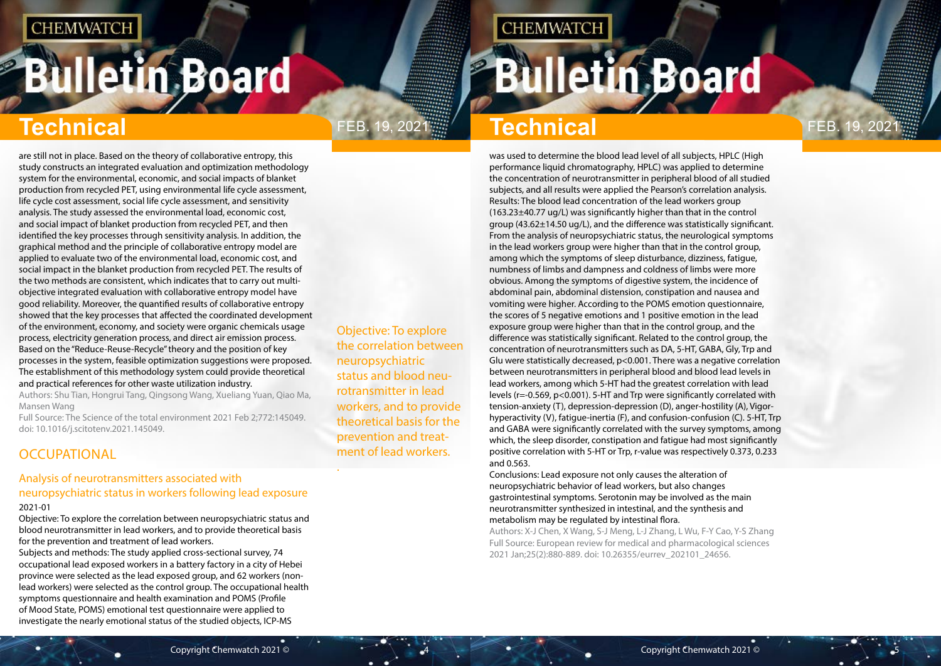# <span id="page-2-0"></span>**Bulletin Board**

## Feb. 19, 2021 Feb. 19, 2021

**CHEMWATCH** 

Objective: To explore the correlation between neuropsychiatric status and blood neurotransmitter in lead workers, and to provide theoretical basis for the prevention and treatment of lead workers.

.

## **Technical Technical**

are still not in place. Based on the theory of collaborative entropy, this study constructs an integrated evaluation and optimization methodology system for the environmental, economic, and social impacts of blanket production from recycled PET, using environmental life cycle assessment, life cycle cost assessment, social life cycle assessment, and sensitivity analysis. The study assessed the environmental load, economic cost, and social impact of blanket production from recycled PET, and then identified the key processes through sensitivity analysis. In addition, the graphical method and the principle of collaborative entropy model are applied to evaluate two of the environmental load, economic cost, and social impact in the blanket production from recycled PET. The results of the two methods are consistent, which indicates that to carry out multiobjective integrated evaluation with collaborative entropy model have good reliability. Moreover, the quantified results of collaborative entropy showed that the key processes that affected the coordinated development of the environment, economy, and society were organic chemicals usage process, electricity generation process, and direct air emission process. Based on the "Reduce-Reuse-Recycle" theory and the position of key processes in the system, feasible optimization suggestions were proposed. The establishment of this methodology system could provide theoretical and practical references for other waste utilization industry.

Authors: Shu Tian, Hongrui Tang, Qingsong Wang, Xueliang Yuan, Qiao Ma, Mansen Wang

Full Source: The Science of the total environment 2021 Feb 2;772:145049. doi: 10.1016/j.scitotenv.2021.145049.

## **OCCUPATIONAL**

#### Analysis of neurotransmitters associated with neuropsychiatric status in workers following lead exposure 2021-01

Objective: To explore the correlation between neuropsychiatric status and blood neurotransmitter in lead workers, and to provide theoretical basis for the prevention and treatment of lead workers.

Subjects and methods: The study applied cross-sectional survey, 74 occupational lead exposed workers in a battery factory in a city of Hebei province were selected as the lead exposed group, and 62 workers (nonlead workers) were selected as the control group. The occupational health symptoms questionnaire and health examination and POMS (Profile of Mood State, POMS) emotional test questionnaire were applied to investigate the nearly emotional status of the studied objects, ICP-MS

was used to determine the blood lead level of all subjects, HPLC (High performance liquid chromatography, HPLC) was applied to determine the concentration of neurotransmitter in peripheral blood of all studied subjects, and all results were applied the Pearson's correlation analysis. Results: The blood lead concentration of the lead workers group (163.23±40.77 ug/L) was significantly higher than that in the control group (43.62±14.50 ug/L), and the difference was statistically significant. From the analysis of neuropsychiatric status, the neurological symptoms in the lead workers group were higher than that in the control group, among which the symptoms of sleep disturbance, dizziness, fatigue, numbness of limbs and dampness and coldness of limbs were more obvious. Among the symptoms of digestive system, the incidence of abdominal pain, abdominal distension, constipation and nausea and vomiting were higher. According to the POMS emotion questionnaire, the scores of 5 negative emotions and 1 positive emotion in the lead exposure group were higher than that in the control group, and the difference was statistically significant. Related to the control group, the concentration of neurotransmitters such as DA, 5-HT, GABA, Gly, Trp and Glu were statistically decreased, p<0.001. There was a negative correlation between neurotransmitters in peripheral blood and blood lead levels in lead workers, among which 5-HT had the greatest correlation with lead levels (r=-0.569, p<0.001). 5-HT and Trp were significantly correlated with tension-anxiety (T), depression-depression (D), anger-hostility (A), Vigorhyperactivity (V), fatigue-inertia (F), and confusion-confusion (C). 5-HT, Trp and GABA were significantly correlated with the survey symptoms, among which, the sleep disorder, constipation and fatigue had most significantly positive correlation with 5-HT or Trp, r-value was respectively 0.373, 0.233 and 0.563.

Conclusions: Lead exposure not only causes the alteration of neuropsychiatric behavior of lead workers, but also changes gastrointestinal symptoms. Serotonin may be involved as the main neurotransmitter synthesized in intestinal, and the synthesis and metabolism may be regulated by intestinal flora.

Authors: X-J Chen, X Wang, S-J Meng, L-J Zhang, L Wu, F-Y Cao, Y-S Zhang Full Source: European review for medical and pharmacological sciences 2021 Jan;25(2):880-889. doi: 10.26355/eurrev\_202101\_24656.

**Bulletin Board** 

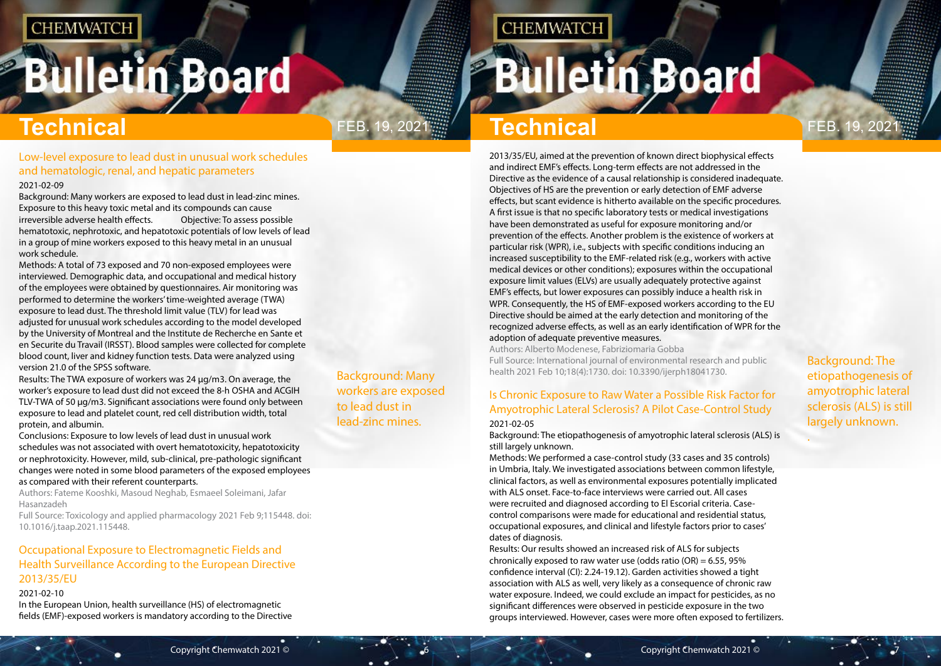## <span id="page-3-0"></span>**Bulletin Board**

Background: Many workers are exposed to lead dust in lead-zinc mines.

## FEB. 19, 2021 **Fig. 4.19, 2021 Technical** Premium of the Contract of Technical

**CHEMWATCH** 

Background: The etiopathogenesis of amyotrophic lateral sclerosis (ALS) is still largely unknown.

.

## **Technical Technical**

Low-level exposure to lead dust in unusual work schedules and hematologic, renal, and hepatic parameters

#### 2021-02-09

Background: Many workers are exposed to lead dust in lead-zinc mines. Exposure to this heavy toxic metal and its compounds can cause irreversible adverse health effects. Objective: To assess possible hematotoxic, nephrotoxic, and hepatotoxic potentials of low levels of lead in a group of mine workers exposed to this heavy metal in an unusual work schedule.

Methods: A total of 73 exposed and 70 non-exposed employees were interviewed. Demographic data, and occupational and medical history of the employees were obtained by questionnaires. Air monitoring was performed to determine the workers' time-weighted average (TWA) exposure to lead dust. The threshold limit value (TLV) for lead was adjusted for unusual work schedules according to the model developed by the University of Montreal and the Institute de Recherche en Sante et en Securite du Travail (IRSST). Blood samples were collected for complete blood count, liver and kidney function tests. Data were analyzed using version 21.0 of the SPSS software.

Results: The TWA exposure of workers was 24 μg/m3. On average, the worker's exposure to lead dust did not exceed the 8-h OSHA and ACGIH TLV-TWA of 50 μg/m3. Significant associations were found only between exposure to lead and platelet count, red cell distribution width, total protein, and albumin.

Conclusions: Exposure to low levels of lead dust in unusual work schedules was not associated with overt hematotoxicity, hepatotoxicity or nephrotoxicity. However, mild, sub-clinical, pre-pathologic significant changes were noted in some blood parameters of the exposed employees as compared with their referent counterparts.

Authors: Fateme Kooshki, Masoud Neghab, Esmaeel Soleimani, Jafar Hasanzadeh

Full Source: Toxicology and applied pharmacology 2021 Feb 9;115448. doi: 10.1016/j.taap.2021.115448.

### Occupational Exposure to Electromagnetic Fields and Health Surveillance According to the European Directive 2013/35/EU

#### 2021-02-10

In the European Union, health surveillance (HS) of electromagnetic fields (EMF)-exposed workers is mandatory according to the Directive 2013/35/EU, aimed at the prevention of known direct biophysical effects and indirect EMF's effects. Long-term effects are not addressed in the Directive as the evidence of a causal relationship is considered inadequate. Objectives of HS are the prevention or early detection of EMF adverse effects, but scant evidence is hitherto available on the specific procedures. A first issue is that no specific laboratory tests or medical investigations have been demonstrated as useful for exposure monitoring and/or prevention of the effects. Another problem is the existence of workers at particular risk (WPR), i.e., subjects with specific conditions inducing an increased susceptibility to the EMF-related risk (e.g., workers with active medical devices or other conditions); exposures within the occupational exposure limit values (ELVs) are usually adequately protective against EMF's effects, but lower exposures can possibly induce a health risk in WPR. Consequently, the HS of EMF-exposed workers according to the EU Directive should be aimed at the early detection and monitoring of the recognized adverse effects, as well as an early identification of WPR for the adoption of adequate preventive measures.

Authors: Alberto Modenese, Fabriziomaria Gobba Full Source: International journal of environmental research and public health 2021 Feb 10;18(4):1730. doi: 10.3390/ijerph18041730.

## Is Chronic Exposure to Raw Water a Possible Risk Factor for Amyotrophic Lateral Sclerosis? A Pilot Case-Control Study

#### 2021-02-05

Background: The etiopathogenesis of amyotrophic lateral sclerosis (ALS) is still largely unknown.

Methods: We performed a case-control study (33 cases and 35 controls) in Umbria, Italy. We investigated associations between common lifestyle, clinical factors, as well as environmental exposures potentially implicated with ALS onset. Face-to-face interviews were carried out. All cases were recruited and diagnosed according to El Escorial criteria. Casecontrol comparisons were made for educational and residential status, occupational exposures, and clinical and lifestyle factors prior to cases' dates of diagnosis.

Results: Our results showed an increased risk of ALS for subjects chronically exposed to raw water use (odds ratio  $(OR) = 6.55, 95\%$ confidence interval (CI): 2.24-19.12). Garden activities showed a tight association with ALS as well, very likely as a consequence of chronic raw water exposure. Indeed, we could exclude an impact for pesticides, as no significant differences were observed in pesticide exposure in the two groups interviewed. However, cases were more often exposed to fertilizers.

## **Bulletin Board**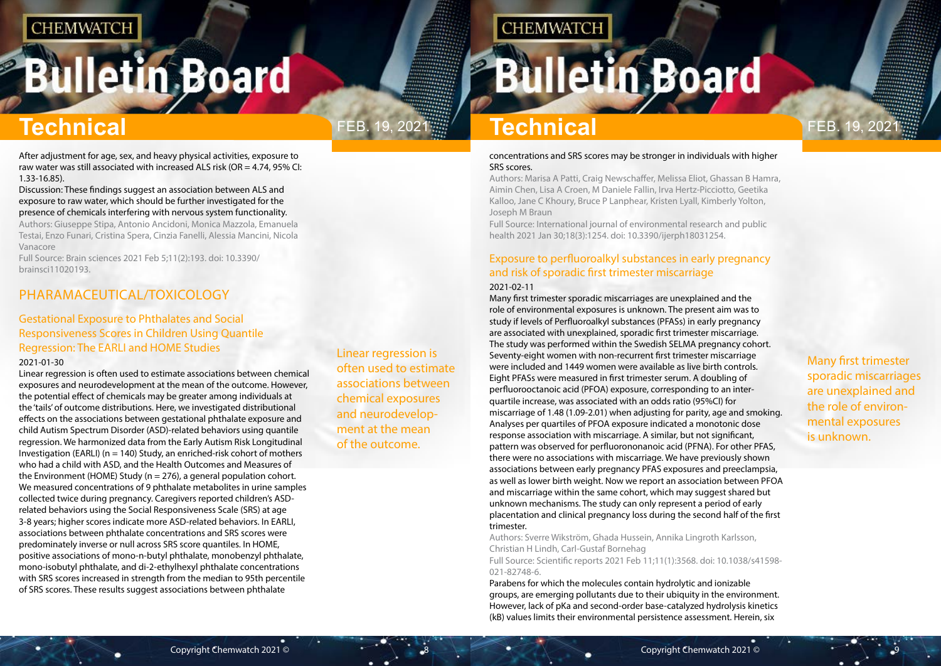## <span id="page-4-0"></span>**Bulletin Board**



Linear regression is often used to estimate associations between chemical exposures and neurodevelopment at the mean of the outcome.

**CHEMWATCH** 

Many first trimester sporadic miscarriages are unexplained and the role of environmental exposures is unknown.

## **Technical Technical**

After adjustment for age, sex, and heavy physical activities, exposure to raw water was still associated with increased ALS risk (OR = 4.74, 95% CI: 1.33-16.85).

Discussion: These findings suggest an association between ALS and exposure to raw water, which should be further investigated for the presence of chemicals interfering with nervous system functionality.

Authors: Giuseppe Stipa, Antonio Ancidoni, Monica Mazzola, Emanuela Testai, Enzo Funari, Cristina Spera, Cinzia Fanelli, Alessia Mancini, Nicola Vanacore

Full Source: Brain sciences 2021 Feb 5;11(2):193. doi: 10.3390/ brainsci11020193.

## PHARAMACEUTICAL/TOXICOLOGY

### Gestational Exposure to Phthalates and Social Responsiveness Scores in Children Using Quantile Regression: The EARLI and HOME Studies

#### 2021-01-30

Linear regression is often used to estimate associations between chemical exposures and neurodevelopment at the mean of the outcome. However, the potential effect of chemicals may be greater among individuals at the 'tails' of outcome distributions. Here, we investigated distributional effects on the associations between gestational phthalate exposure and child Autism Spectrum Disorder (ASD)-related behaviors using quantile regression. We harmonized data from the Early Autism Risk Longitudinal Investigation (EARLI) (n = 140) Study, an enriched-risk cohort of mothers who had a child with ASD, and the Health Outcomes and Measures of the Environment (HOME) Study ( $n = 276$ ), a general population cohort. We measured concentrations of 9 phthalate metabolites in urine samples collected twice during pregnancy. Caregivers reported children's ASDrelated behaviors using the Social Responsiveness Scale (SRS) at age 3-8 years; higher scores indicate more ASD-related behaviors. In EARLI, associations between phthalate concentrations and SRS scores were predominately inverse or null across SRS score quantiles. In HOME, positive associations of mono-n-butyl phthalate, monobenzyl phthalate, mono-isobutyl phthalate, and di-2-ethylhexyl phthalate concentrations with SRS scores increased in strength from the median to 95th percentile of SRS scores. These results suggest associations between phthalate

#### concentrations and SRS scores may be stronger in individuals with higher SRS scores.

Authors: Marisa A Patti, Craig Newschaffer, Melissa Eliot, Ghassan B Hamra, Aimin Chen, Lisa A Croen, M Daniele Fallin, Irva Hertz-Picciotto, Geetika Kalloo, Jane C Khoury, Bruce P Lanphear, Kristen Lyall, Kimberly Yolton, Joseph M Braun

Full Source: International journal of environmental research and public health 2021 Jan 30;18(3):1254. doi: 10.3390/ijerph18031254.

### Exposure to perfluoroalkyl substances in early pregnancy and risk of sporadic first trimester miscarriage 2021-02-11

Many first trimester sporadic miscarriages are unexplained and the role of environmental exposures is unknown. The present aim was to study if levels of Perfluoroalkyl substances (PFASs) in early pregnancy are associated with unexplained, sporadic first trimester miscarriage. The study was performed within the Swedish SELMA pregnancy cohort. Seventy-eight women with non-recurrent first trimester miscarriage were included and 1449 women were available as live birth controls. Eight PFASs were measured in first trimester serum. A doubling of perfluorooctanoic acid (PFOA) exposure, corresponding to an interquartile increase, was associated with an odds ratio (95%CI) for miscarriage of 1.48 (1.09-2.01) when adjusting for parity, age and smoking. Analyses per quartiles of PFOA exposure indicated a monotonic dose response association with miscarriage. A similar, but not significant, pattern was observed for perfluorononanoic acid (PFNA). For other PFAS, there were no associations with miscarriage. We have previously shown associations between early pregnancy PFAS exposures and preeclampsia, as well as lower birth weight. Now we report an association between PFOA and miscarriage within the same cohort, which may suggest shared but unknown mechanisms. The study can only represent a period of early placentation and clinical pregnancy loss during the second half of the first trimester.

Authors: Sverre Wikström, Ghada Hussein, Annika Lingroth Karlsson, Christian H Lindh, Carl-Gustaf Bornehag Full Source: Scientific reports 2021 Feb 11;11(1):3568. doi: 10.1038/s41598-

021-82748-6.

Parabens for which the molecules contain hydrolytic and ionizable groups, are emerging pollutants due to their ubiquity in the environment. However, lack of pKa and second-order base-catalyzed hydrolysis kinetics (kB) values limits their environmental persistence assessment. Herein, six